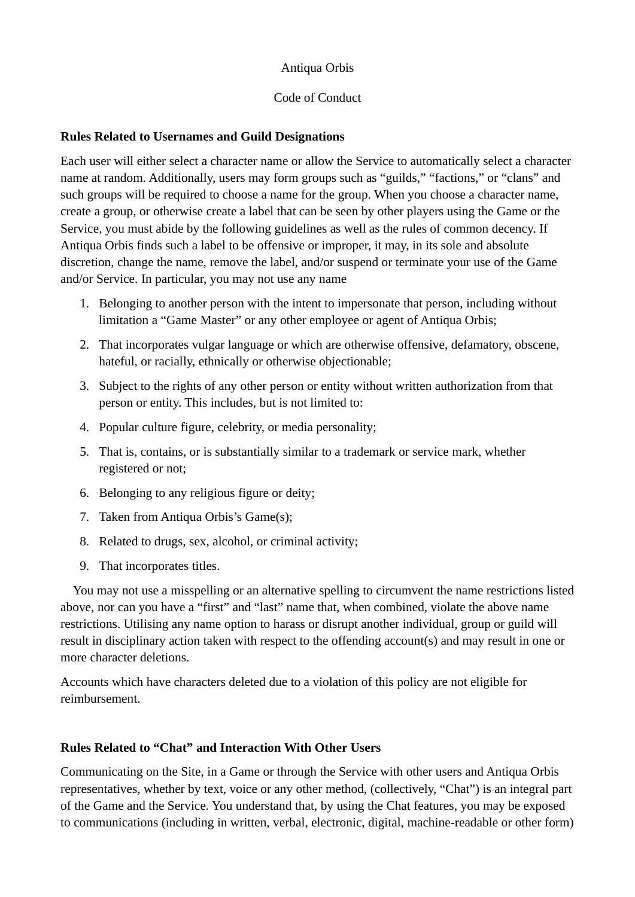## Antiqua Orbis

## Code of Conduct

## **Rules Related to Usernames and Guild Designations**

Each user will either select a character name or allow the Service to automatically select a character name at random. Additionally, users may form groups such as "guilds," "factions," or "clans" and such groups will be required to choose a name for the group. When you choose a character name, create a group, or otherwise create a label that can be seen by other players using the Game or the Service, you must abide by the following guidelines as well as the rules of common decency. If Antiqua Orbis finds such a label to be offensive or improper, it may, in its sole and absolute discretion, change the name, remove the label, and/or suspend or terminate your use of the Game and/or Service. In particular, you may not use any name

- 1. Belonging to another person with the intent to impersonate that person, including without limitation a "Game Master" or any other employee or agent of Antiqua Orbis;
- 2. That incorporates vulgar language or which are otherwise offensive, defamatory, obscene, hateful, or racially, ethnically or otherwise objectionable;
- 3. Subject to the rights of any other person or entity without written authorization from that person or entity. This includes, but is not limited to:
- 4. Popular culture figure, celebrity, or media personality;
- 5. That is, contains, or is substantially similar to a trademark or service mark, whether registered or not;
- 6. Belonging to any religious figure or deity;
- 7. Taken from Antiqua Orbis's Game(s);
- 8. Related to drugs, sex, alcohol, or criminal activity;
- 9. That incorporates titles.

 You may not use a misspelling or an alternative spelling to circumvent the name restrictions listed above, nor can you have a "first" and "last" name that, when combined, violate the above name restrictions. Utilising any name option to harass or disrupt another individual, group or guild will result in disciplinary action taken with respect to the offending account(s) and may result in one or more character deletions.

Accounts which have characters deleted due to a violation of this policy are not eligible for reimbursement.

## **Rules Related to "Chat" and Interaction With Other Users**

Communicating on the Site, in a Game or through the Service with other users and Antiqua Orbis representatives, whether by text, voice or any other method, (collectively, "Chat") is an integral part of the Game and the Service. You understand that, by using the Chat features, you may be exposed to communications (including in written, verbal, electronic, digital, machine-readable or other form)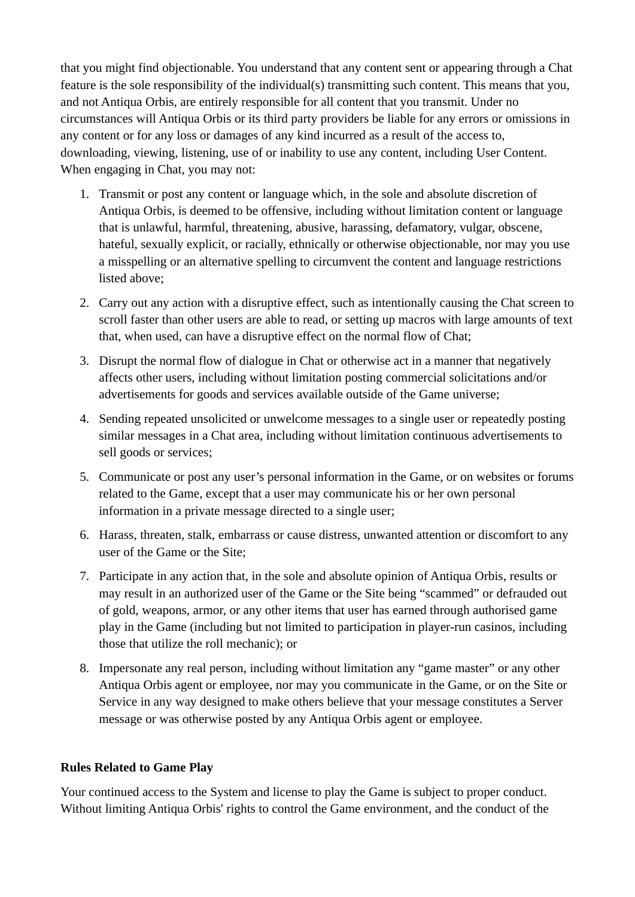that you might find objectionable. You understand that any content sent or appearing through a Chat feature is the sole responsibility of the individual(s) transmitting such content. This means that you, and not Antiqua Orbis, are entirely responsible for all content that you transmit. Under no circumstances will Antiqua Orbis or its third party providers be liable for any errors or omissions in any content or for any loss or damages of any kind incurred as a result of the access to, downloading, viewing, listening, use of or inability to use any content, including User Content. When engaging in Chat, you may not:

- 1. Transmit or post any content or language which, in the sole and absolute discretion of Antiqua Orbis, is deemed to be offensive, including without limitation content or language that is unlawful, harmful, threatening, abusive, harassing, defamatory, vulgar, obscene, hateful, sexually explicit, or racially, ethnically or otherwise objectionable, nor may you use a misspelling or an alternative spelling to circumvent the content and language restrictions listed above;
- 2. Carry out any action with a disruptive effect, such as intentionally causing the Chat screen to scroll faster than other users are able to read, or setting up macros with large amounts of text that, when used, can have a disruptive effect on the normal flow of Chat;
- 3. Disrupt the normal flow of dialogue in Chat or otherwise act in a manner that negatively affects other users, including without limitation posting commercial solicitations and/or advertisements for goods and services available outside of the Game universe;
- 4. Sending repeated unsolicited or unwelcome messages to a single user or repeatedly posting similar messages in a Chat area, including without limitation continuous advertisements to sell goods or services;
- 5. Communicate or post any user's personal information in the Game, or on websites or forums related to the Game, except that a user may communicate his or her own personal information in a private message directed to a single user;
- 6. Harass, threaten, stalk, embarrass or cause distress, unwanted attention or discomfort to any user of the Game or the Site;
- 7. Participate in any action that, in the sole and absolute opinion of Antiqua Orbis, results or may result in an authorized user of the Game or the Site being "scammed" or defrauded out of gold, weapons, armor, or any other items that user has earned through authorised game play in the Game (including but not limited to participation in player-run casinos, including those that utilize the roll mechanic); or
- 8. Impersonate any real person, including without limitation any "game master" or any other Antiqua Orbis agent or employee, nor may you communicate in the Game, or on the Site or Service in any way designed to make others believe that your message constitutes a Server message or was otherwise posted by any Antiqua Orbis agent or employee.

#### **Rules Related to Game Play**

Your continued access to the System and license to play the Game is subject to proper conduct. Without limiting Antiqua Orbis' rights to control the Game environment, and the conduct of the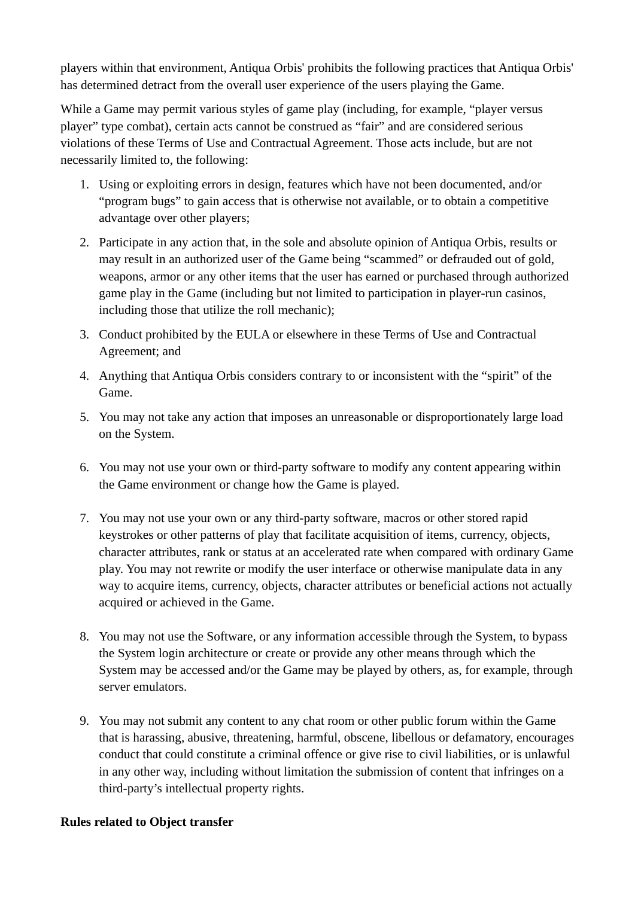players within that environment, Antiqua Orbis' prohibits the following practices that Antiqua Orbis' has determined detract from the overall user experience of the users playing the Game.

While a Game may permit various styles of game play (including, for example, "player versus player" type combat), certain acts cannot be construed as "fair" and are considered serious violations of these Terms of Use and Contractual Agreement. Those acts include, but are not necessarily limited to, the following:

- 1. Using or exploiting errors in design, features which have not been documented, and/or "program bugs" to gain access that is otherwise not available, or to obtain a competitive advantage over other players;
- 2. Participate in any action that, in the sole and absolute opinion of Antiqua Orbis, results or may result in an authorized user of the Game being "scammed" or defrauded out of gold, weapons, armor or any other items that the user has earned or purchased through authorized game play in the Game (including but not limited to participation in player-run casinos, including those that utilize the roll mechanic);
- 3. Conduct prohibited by the EULA or elsewhere in these Terms of Use and Contractual Agreement; and
- 4. Anything that Antiqua Orbis considers contrary to or inconsistent with the "spirit" of the Game.
- 5. You may not take any action that imposes an unreasonable or disproportionately large load on the System.
- 6. You may not use your own or third-party software to modify any content appearing within the Game environment or change how the Game is played.
- 7. You may not use your own or any third-party software, macros or other stored rapid keystrokes or other patterns of play that facilitate acquisition of items, currency, objects, character attributes, rank or status at an accelerated rate when compared with ordinary Game play. You may not rewrite or modify the user interface or otherwise manipulate data in any way to acquire items, currency, objects, character attributes or beneficial actions not actually acquired or achieved in the Game.
- 8. You may not use the Software, or any information accessible through the System, to bypass the System login architecture or create or provide any other means through which the System may be accessed and/or the Game may be played by others, as, for example, through server emulators.
- 9. You may not submit any content to any chat room or other public forum within the Game that is harassing, abusive, threatening, harmful, obscene, libellous or defamatory, encourages conduct that could constitute a criminal offence or give rise to civil liabilities, or is unlawful in any other way, including without limitation the submission of content that infringes on a third-party's intellectual property rights.

## **Rules related to Object transfer**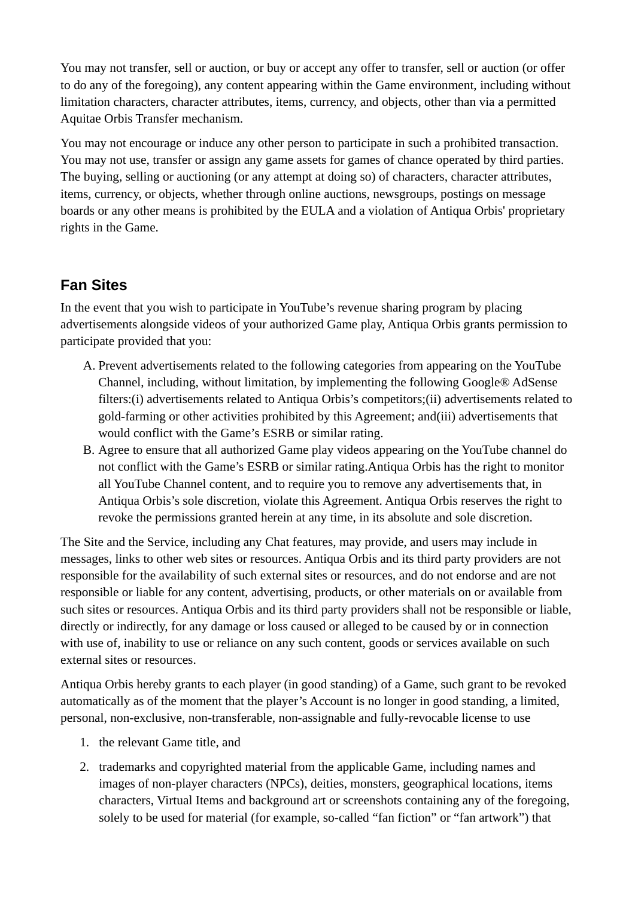You may not transfer, sell or auction, or buy or accept any offer to transfer, sell or auction (or offer to do any of the foregoing), any content appearing within the Game environment, including without limitation characters, character attributes, items, currency, and objects, other than via a permitted Aquitae Orbis Transfer mechanism.

You may not encourage or induce any other person to participate in such a prohibited transaction. You may not use, transfer or assign any game assets for games of chance operated by third parties. The buying, selling or auctioning (or any attempt at doing so) of characters, character attributes, items, currency, or objects, whether through online auctions, newsgroups, postings on message boards or any other means is prohibited by the EULA and a violation of Antiqua Orbis' proprietary rights in the Game.

# **Fan Sites**

In the event that you wish to participate in YouTube's revenue sharing program by placing advertisements alongside videos of your authorized Game play, Antiqua Orbis grants permission to participate provided that you:

- A. Prevent advertisements related to the following categories from appearing on the YouTube Channel, including, without limitation, by implementing the following Google® AdSense filters:(i) advertisements related to Antiqua Orbis's competitors;(ii) advertisements related to gold-farming or other activities prohibited by this Agreement; and(iii) advertisements that would conflict with the Game's ESRB or similar rating.
- B. Agree to ensure that all authorized Game play videos appearing on the YouTube channel do not conflict with the Game's ESRB or similar rating.Antiqua Orbis has the right to monitor all YouTube Channel content, and to require you to remove any advertisements that, in Antiqua Orbis's sole discretion, violate this Agreement. Antiqua Orbis reserves the right to revoke the permissions granted herein at any time, in its absolute and sole discretion.

The Site and the Service, including any Chat features, may provide, and users may include in messages, links to other web sites or resources. Antiqua Orbis and its third party providers are not responsible for the availability of such external sites or resources, and do not endorse and are not responsible or liable for any content, advertising, products, or other materials on or available from such sites or resources. Antiqua Orbis and its third party providers shall not be responsible or liable, directly or indirectly, for any damage or loss caused or alleged to be caused by or in connection with use of, inability to use or reliance on any such content, goods or services available on such external sites or resources.

Antiqua Orbis hereby grants to each player (in good standing) of a Game, such grant to be revoked automatically as of the moment that the player's Account is no longer in good standing, a limited, personal, non-exclusive, non-transferable, non-assignable and fully-revocable license to use

- 1. the relevant Game title, and
- 2. trademarks and copyrighted material from the applicable Game, including names and images of non-player characters (NPCs), deities, monsters, geographical locations, items characters, Virtual Items and background art or screenshots containing any of the foregoing, solely to be used for material (for example, so-called "fan fiction" or "fan artwork") that